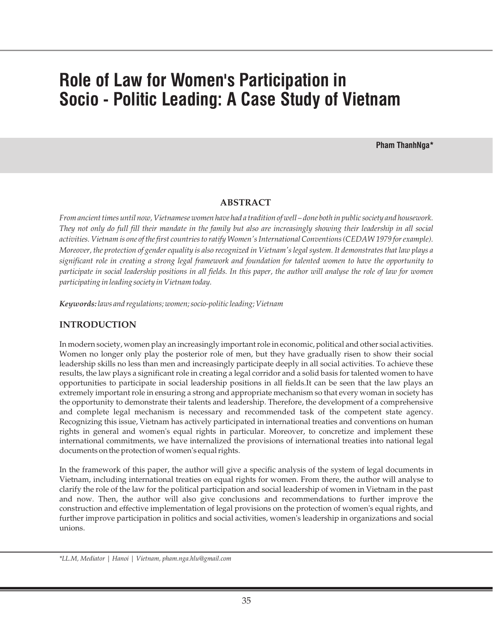# **Role of Law for Women's Participation in Socio - Politic Leading: A Case Study of Vietnam**

**Pham ThanhNga\***

# **ABSTRACT**

*From ancient times until now, Vietnamese women have had a tradition of well – done both in public society and housework. They not only do full fill their mandate in the family but also are increasingly showing their leadership in all social activities. Vietnam is one of the first countries to ratify Women's International Conventions (CEDAW 1979 for example). Moreover, the protection of gender equality is also recognized in Vietnam's legal system. It demonstrates that law plays a significant role in creating a strong legal framework and foundation for talented women to have the opportunity to participate in social leadership positions in all fields. In this paper, the author will analyse the role of law for women participating in leading society in Vietnam today.*

*Keywords: laws and regulations; women; socio-politic leading; Vietnam*

# **INTRODUCTION**

In modern society, women play an increasingly important role in economic, political and other social activities. Women no longer only play the posterior role of men, but they have gradually risen to show their social leadership skills no less than men and increasingly participate deeply in all social activities. To achieve these results, the law plays a significant role in creating a legal corridor and a solid basis for talented women to have opportunities to participate in social leadership positions in all fields.It can be seen that the law plays an extremely important role in ensuring a strong and appropriate mechanism so that every woman in society has the opportunity to demonstrate their talents and leadership. Therefore, the development of a comprehensive and complete legal mechanism is necessary and recommended task of the competent state agency. Recognizing this issue, Vietnam has actively participated in international treaties and conventions on human rights in general and women's equal rights in particular. Moreover, to concretize and implement these international commitments, we have internalized the provisions of international treaties into national legal documents on the protection of women's equal rights.

In the framework of this paper, the author will give a specific analysis of the system of legal documents in Vietnam, including international treaties on equal rights for women. From there, the author will analyse to clarify the role of the law for the political participation and social leadership of women in Vietnam in the past and now. Then, the author will also give conclusions and recommendations to further improve the construction and effective implementation of legal provisions on the protection of women's equal rights, and further improve participation in politics and social activities, women's leadership in organizations and social unions.

*\*LL.M, Mediator | Hanoi | Vietnam, pham.nga.hlu@gmail.com*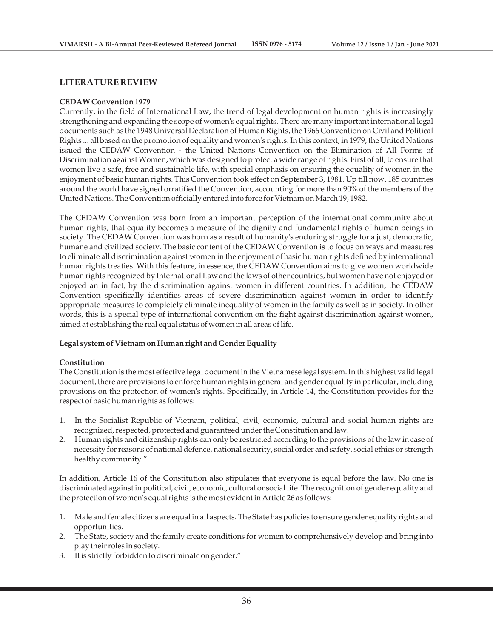## **LITERATURE REVIEW**

#### **CEDAW Convention 1979**

Currently, in the field of International Law, the trend of legal development on human rights is increasingly strengthening and expanding the scope of women's equal rights. There are many important international legal documents such as the 1948 Universal Declaration of Human Rights, the 1966 Convention on Civil and Political Rights ... all based on the promotion of equality and women's rights. In this context, in 1979, the United Nations issued the CEDAW Convention - the United Nations Convention on the Elimination of All Forms of Discrimination against Women, which was designed to protect a wide range of rights. First of all, to ensure that women live a safe, free and sustainable life, with special emphasis on ensuring the equality of women in the enjoyment of basic human rights. This Convention took effect on September 3, 1981. Up till now, 185 countries around the world have signed orratified the Convention, accounting for more than 90% of the members of the United Nations. The Convention officially entered into force for Vietnam on March 19, 1982.

The CEDAW Convention was born from an important perception of the international community about human rights, that equality becomes a measure of the dignity and fundamental rights of human beings in society. The CEDAW Convention was born as a result of humanity's enduring struggle for a just, democratic, humane and civilized society. The basic content of the CEDAW Convention is to focus on ways and measures to eliminate all discrimination against women in the enjoyment of basic human rights defined by international human rights treaties. With this feature, in essence, the CEDAW Convention aims to give women worldwide human rights recognized by International Law and the laws of other countries, but women have not enjoyed or enjoyed an in fact, by the discrimination against women in different countries. In addition, the CEDAW Convention specifically identifies areas of severe discrimination against women in order to identify appropriate measures to completely eliminate inequality of women in the family as well as in society. In other words, this is a special type of international convention on the fight against discrimination against women, aimed at establishing the real equal status of women in all areas of life.

## **Legal system of Vietnam on Human right and Gender Equality**

#### **Constitution**

The Constitution is the most effective legal document in the Vietnamese legal system. In this highest valid legal document, there are provisions to enforce human rights in general and gender equality in particular, including provisions on the protection of women's rights. Specifically, in Article 14, the Constitution provides for the respect of basic human rights as follows:

- 1. In the Socialist Republic of Vietnam, political, civil, economic, cultural and social human rights are recognized, respected, protected and guaranteed under the Constitution and law.
- 2. Human rights and citizenship rights can only be restricted according to the provisions of the law in case of necessity for reasons of national defence, national security, social order and safety, social ethics or strength healthy community."

In addition, Article 16 of the Constitution also stipulates that everyone is equal before the law. No one is discriminated against in political, civil, economic, cultural or social life. The recognition of gender equality and the protection of women's equal rights is the most evident in Article 26 as follows:

- 1. Male and female citizens are equal in all aspects. The State has policies to ensure gender equality rights and opportunities.
- 2. The State, society and the family create conditions for women to comprehensively develop and bring into play their roles in society.
- 3. It is strictly forbidden to discriminate on gender."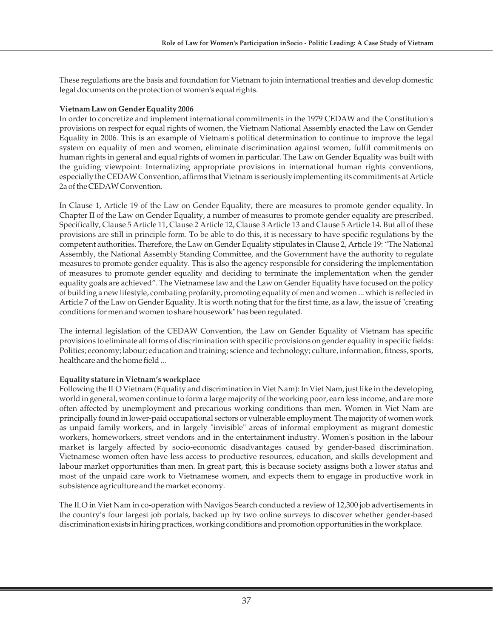These regulations are the basis and foundation for Vietnam to join international treaties and develop domestic legal documents on the protection of women's equal rights.

## **Vietnam Law on Gender Equality 2006**

In order to concretize and implement international commitments in the 1979 CEDAW and the Constitution's provisions on respect for equal rights of women, the Vietnam National Assembly enacted the Law on Gender Equality in 2006. This is an example of Vietnam's political determination to continue to improve the legal system on equality of men and women, eliminate discrimination against women, fulfil commitments on human rights in general and equal rights of women in particular. The Law on Gender Equality was built with the guiding viewpoint: Internalizing appropriate provisions in international human rights conventions, especially the CEDAW Convention, affirms that Vietnam is seriously implementing its commitments at Article 2a of the CEDAW Convention.

In Clause 1, Article 19 of the Law on Gender Equality, there are measures to promote gender equality. In Chapter II of the Law on Gender Equality, a number of measures to promote gender equality are prescribed. Specifically, Clause 5 Article 11, Clause 2 Article 12, Clause 3 Article 13 and Clause 5 Article 14. But all of these provisions are still in principle form. To be able to do this, it is necessary to have specific regulations by the competent authorities. Therefore, the Law on Gender Equality stipulates in Clause 2, Article 19: "The National Assembly, the National Assembly Standing Committee, and the Government have the authority to regulate measures to promote gender equality. This is also the agency responsible for considering the implementation of measures to promote gender equality and deciding to terminate the implementation when the gender equality goals are achieved". The Vietnamese law and the Law on Gender Equality have focused on the policy of building a new lifestyle, combating profanity, promoting equality of men and women ... which is reflected in Article 7 of the Law on Gender Equality. It is worth noting that for the first time, as a law, the issue of "creating conditions for men and women to share housework" has been regulated.

The internal legislation of the CEDAW Convention, the Law on Gender Equality of Vietnam has specific provisions to eliminate all forms of discrimination with specific provisions on gender equality in specific fields: Politics; economy; labour; education and training; science and technology; culture, information, fitness, sports, healthcare and the home field ...

# **Equality stature in Vietnam's workplace**

Following the ILO Vietnam (Equality and discrimination in Viet Nam): In Viet Nam, just like in the developing world in general, women continue to form a large majority of the working poor, earn less income, and are more often affected by unemployment and precarious working conditions than men. Women in Viet Nam are principally found in lower-paid occupational sectors or vulnerable employment. The majority of women work as unpaid family workers, and in largely "invisible" areas of informal employment as migrant domestic workers, homeworkers, street vendors and in the entertainment industry. Women's position in the labour market is largely affected by socio-economic disadvantages caused by gender-based discrimination. Vietnamese women often have less access to productive resources, education, and skills development and labour market opportunities than men. In great part, this is because society assigns both a lower status and most of the unpaid care work to Vietnamese women, and expects them to engage in productive work in subsistence agriculture and the market economy.

The ILO in Viet Nam in co-operation with Navigos Search conducted a review of 12,300 job advertisements in the country's four largest job portals, backed up by two online surveys to discover whether gender-based discrimination exists in hiring practices, working conditions and promotion opportunities in the workplace.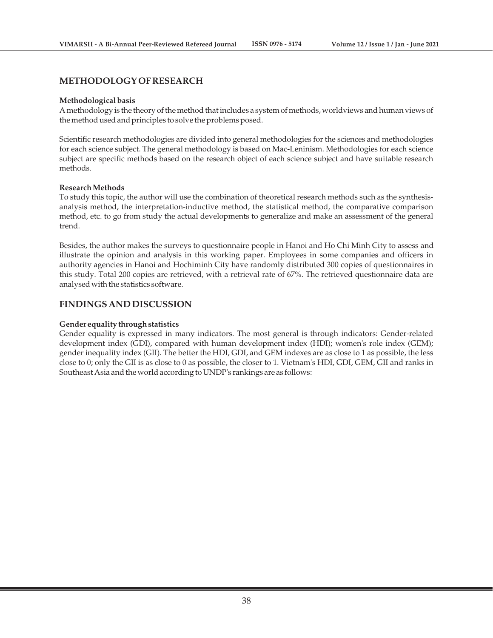## **METHODOLOGY OF RESEARCH**

#### **Methodological basis**

A methodology is the theory of the method that includes a system of methods, worldviews and human views of the method used and principles to solve the problems posed.

Scientific research methodologies are divided into general methodologies for the sciences and methodologies for each science subject. The general methodology is based on Mac-Leninism. Methodologies for each science subject are specific methods based on the research object of each science subject and have suitable research methods.

#### **Research Methods**

To study this topic, the author will use the combination of theoretical research methods such as the synthesisanalysis method, the interpretation-inductive method, the statistical method, the comparative comparison method, etc. to go from study the actual developments to generalize and make an assessment of the general trend.

Besides, the author makes the surveys to questionnaire people in Hanoi and Ho Chi Minh City to assess and illustrate the opinion and analysis in this working paper. Employees in some companies and officers in authority agencies in Hanoi and Hochiminh City have randomly distributed 300 copies of questionnaires in this study. Total 200 copies are retrieved, with a retrieval rate of 67%. The retrieved questionnaire data are analysed with the statistics software.

## **FINDINGS AND DISCUSSION**

#### **Gender equality through statistics**

Gender equality is expressed in many indicators. The most general is through indicators: Gender-related development index (GDI), compared with human development index (HDI); women's role index (GEM); gender inequality index (GII). The better the HDI, GDI, and GEM indexes are as close to 1 as possible, the less close to 0; only the GII is as close to 0 as possible, the closer to 1. Vietnam's HDI, GDI, GEM, GII and ranks in Southeast Asia and the world according to UNDP's rankings are as follows: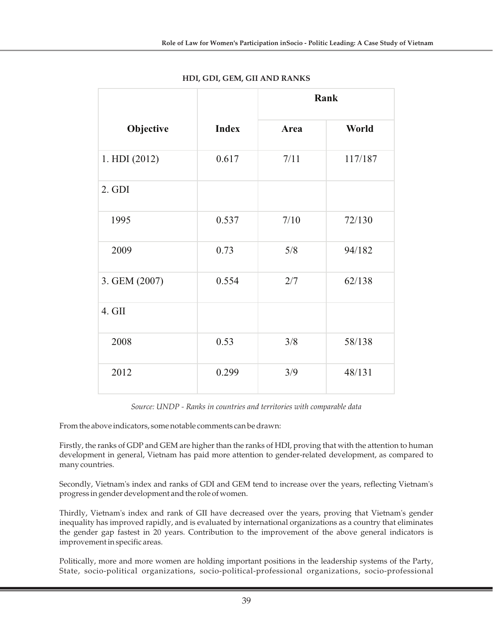|               |              | Rank |         |
|---------------|--------------|------|---------|
| Objective     | <b>Index</b> | Area | World   |
| 1. HDI (2012) | 0.617        | 7/11 | 117/187 |
| $2.$ GDI      |              |      |         |
| 1995          | 0.537        | 7/10 | 72/130  |
| 2009          | 0.73         | 5/8  | 94/182  |
| 3. GEM (2007) | 0.554        | 2/7  | 62/138  |
| 4. GII        |              |      |         |
| 2008          | 0.53         | 3/8  | 58/138  |
| 2012          | 0.299        | 3/9  | 48/131  |

# **HDI, GDI, GEM, GII AND RANKS**

*Source: UNDP - Ranks in countries and territories with comparable data*

From the above indicators, some notable comments can be drawn:

Firstly, the ranks of GDP and GEM are higher than the ranks of HDI, proving that with the attention to human development in general, Vietnam has paid more attention to gender-related development, as compared to many countries.

Secondly, Vietnam's index and ranks of GDI and GEM tend to increase over the years, reflecting Vietnam's progress in gender development and the role of women.

Thirdly, Vietnam's index and rank of GII have decreased over the years, proving that Vietnam's gender inequality has improved rapidly, and is evaluated by international organizations as a country that eliminates the gender gap fastest in 20 years. Contribution to the improvement of the above general indicators is improvement in specific areas.

Politically, more and more women are holding important positions in the leadership systems of the Party, State, socio-political organizations, socio-political-professional organizations, socio-professional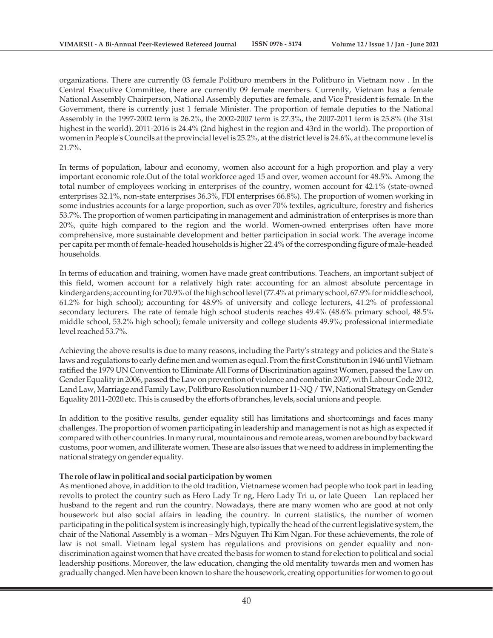organizations. There are currently 03 female Politburo members in the Politburo in Vietnam now . In the Central Executive Committee, there are currently 09 female members. Currently, Vietnam has a female National Assembly Chairperson, National Assembly deputies are female, and Vice President is female. In the Government, there is currently just 1 female Minister. The proportion of female deputies to the National Assembly in the 1997-2002 term is 26.2%, the 2002-2007 term is 27.3%, the 2007-2011 term is 25.8% (the 31st highest in the world). 2011-2016 is 24.4% (2nd highest in the region and 43rd in the world). The proportion of women in People's Councils at the provincial level is 25.2%, at the district level is 24.6%, at the commune level is 21.7%.

In terms of population, labour and economy, women also account for a high proportion and play a very important economic role.Out of the total workforce aged 15 and over, women account for 48.5%. Among the total number of employees working in enterprises of the country, women account for 42.1% (state-owned enterprises 32.1%, non-state enterprises 36.3%, FDI enterprises 66.8%). The proportion of women working in some industries accounts for a large proportion, such as over 70% textiles, agriculture, forestry and fisheries 53.7%. The proportion of women participating in management and administration of enterprises is more than 20%, quite high compared to the region and the world. Women-owned enterprises often have more comprehensive, more sustainable development and better participation in social work. The average income per capita per month of female-headed households is higher 22.4% of the corresponding figure of male-headed households.

In terms of education and training, women have made great contributions. Teachers, an important subject of this field, women account for a relatively high rate: accounting for an almost absolute percentage in kindergardens; accounting for 70.9% of the high school level (77.4% at primary school, 67.9% for middle school, 61.2% for high school); accounting for 48.9% of university and college lecturers, 41.2% of professional secondary lecturers. The rate of female high school students reaches 49.4% (48.6% primary school, 48.5% middle school, 53.2% high school); female university and college students 49.9%; professional intermediate level reached 53.7%.

Achieving the above results is due to many reasons, including the Party's strategy and policies and the State's laws and regulations to early define men and women as equal. From the first Constitution in 1946 until Vietnam ratified the 1979 UN Convention to Eliminate All Forms of Discrimination against Women, passed the Law on Gender Equality in 2006, passed the Law on prevention of violence and combatin 2007, with Labour Code 2012, Land Law, Marriage and Family Law, Politburo Resolution number 11-NQ / TW, National Strategy on Gender Equality 2011-2020 etc. This is caused by the efforts of branches, levels, social unions and people.

In addition to the positive results, gender equality still has limitations and shortcomings and faces many challenges. The proportion of women participating in leadership and management is not as high as expected if compared with other countries. In many rural, mountainous and remote areas, women are bound by backward customs, poor women, and illiterate women. These are also issues that we need to address in implementing the national strategy on gender equality.

## **The role of law in political and social participation by women**

As mentioned above, in addition to the old tradition, Vietnamese women had people who took part in leading revolts to protect the country such as Hero Lady Tr ng, Hero Lady Triu, or late Queen Lan replaced her husband to the regent and run the country. Nowadays, there are many women who are good at not only housework but also social affairs in leading the country. In current statistics, the number of women participating in the political system is increasingly high, typically the head of the current legislative system, the chair of the National Assembly is a woman – Mrs Nguyen Thi Kim Ngan. For these achievements, the role of law is not small. Vietnam legal system has regulations and provisions on gender equality and nondiscrimination against women that have created the basis for women to stand for election to political and social leadership positions. Moreover, the law education, changing the old mentality towards men and women has gradually changed. Men have been known to share the housework, creating opportunities for women to go out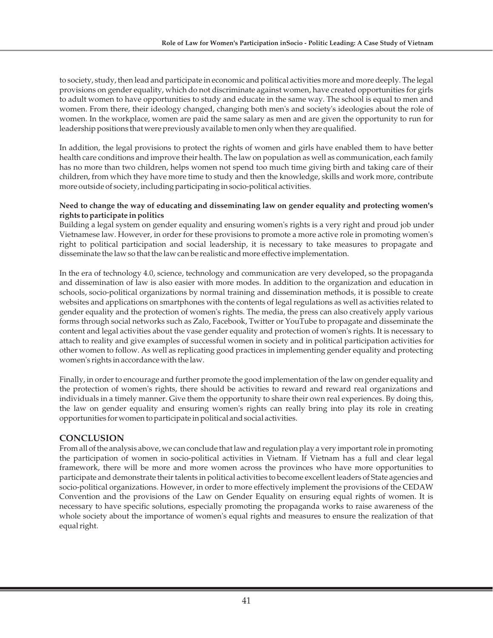to society, study, then lead and participate in economic and political activities more and more deeply. The legal provisions on gender equality, which do not discriminate against women, have created opportunities for girls to adult women to have opportunities to study and educate in the same way. The school is equal to men and women. From there, their ideology changed, changing both men's and society's ideologies about the role of women. In the workplace, women are paid the same salary as men and are given the opportunity to run for leadership positions that were previously available to men only when they are qualified.

In addition, the legal provisions to protect the rights of women and girls have enabled them to have better health care conditions and improve their health. The law on population as well as communication, each family has no more than two children, helps women not spend too much time giving birth and taking care of their children, from which they have more time to study and then the knowledge, skills and work more, contribute more outside of society, including participating in socio-political activities.

## **Need to change the way of educating and disseminating law on gender equality and protecting women's rights to participate in politics**

Building a legal system on gender equality and ensuring women's rights is a very right and proud job under Vietnamese law. However, in order for these provisions to promote a more active role in promoting women's right to political participation and social leadership, it is necessary to take measures to propagate and disseminate the law so that the law can be realistic and more effective implementation.

In the era of technology 4.0, science, technology and communication are very developed, so the propaganda and dissemination of law is also easier with more modes. In addition to the organization and education in schools, socio-political organizations by normal training and dissemination methods, it is possible to create websites and applications on smartphones with the contents of legal regulations as well as activities related to gender equality and the protection of women's rights. The media, the press can also creatively apply various forms through social networks such as Zalo, Facebook, Twitter or YouTube to propagate and disseminate the content and legal activities about the vase gender equality and protection of women's rights. It is necessary to attach to reality and give examples of successful women in society and in political participation activities for other women to follow. As well as replicating good practices in implementing gender equality and protecting women's rights in accordance with the law.

Finally, in order to encourage and further promote the good implementation of the law on gender equality and the protection of women's rights, there should be activities to reward and reward real organizations and individuals in a timely manner. Give them the opportunity to share their own real experiences. By doing this, the law on gender equality and ensuring women's rights can really bring into play its role in creating opportunities for women to participate in political and social activities.

# **CONCLUSION**

From all of the analysis above, we can conclude that law and regulation play a very important role in promoting the participation of women in socio-political activities in Vietnam. If Vietnam has a full and clear legal framework, there will be more and more women across the provinces who have more opportunities to participate and demonstrate their talents in political activities to become excellent leaders of State agencies and socio-political organizations. However, in order to more effectively implement the provisions of the CEDAW Convention and the provisions of the Law on Gender Equality on ensuring equal rights of women. It is necessary to have specific solutions, especially promoting the propaganda works to raise awareness of the whole society about the importance of women's equal rights and measures to ensure the realization of that equal right.